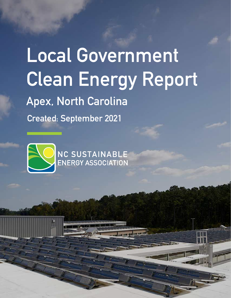## **Local Government Clean Energy Report Apex, North Carolina Created: September 2021**

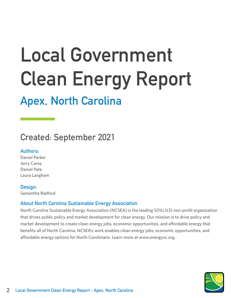# **Local Government Clean Energy Report**

### **Apex, North Carolina**

### **Created: September 2021**

#### **Authors:**

Daniel Parker Jerry Carey Daniel Pate Laura Langham

#### **Design:**

Samantha Radford

#### **About North Carolina Sustainable Energy Association**

North Carolina Sustainable Energy Association (NCSEA) is the leading 501(c)(3) non-profit organization that drives public policy and market development for clean energy. Our mission is to drive policy and market development to create clean energy jobs, economic opportunities, and affordable energy that benefits all of North Carolina. NCSEA's work enables clean energy jobs, economic opportunities, and affordable energy options for North Carolinians. Learn more at www.energync.org.

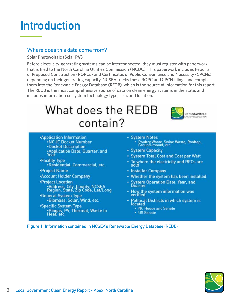### **Introduction**

#### Where does this data come from?

#### **Solar Photovoltaic (Solar PV)**

Before electricity-generating systems can be interconnected, they must register with paperwork that is filed to the North Carolina Utilities Commission (NCUC). This paperwork includes Reports of Proposed Construction (ROPCs) and Certificates of Public Convenience and Necessity (CPCNs), depending on their generating capacity. NCSEA tracks these ROPC and CPCN filings and compiles them into the Renewable Energy Database (REDB), which is the source of information for this report. The REDB is the most comprehensive source of data on clean energy systems in the state, and includes information on system technology type, size, and location.

### What does the REDB contain?



- **Application Information .NCUC Docket Number .Docket Description** \*Application Date, Quarter, and<br>Year
- •Facility Type .Residential, Commercial, etc.
- •Project Name
- \*Account Holder Company
- •Project Location .<br>• Address, City, County, NCSEA<br>Region, State, Zip Code, Lat/Long
- •General System Type .Biomass, Solar, Wind, etc.
- \*Specific System Type .Biogas, PV, Thermal, Waste to
- System Notes Poultry Waste, Swine Waste, Rooftop,
- System Capacity
- System Total Cost and Cost per Watt
- . To whom the electricity and RECs are sold
- Installer Company
- Whether the system has been installed
- System Operation Date, Year, and Quarter
- How the system information was verified
- · Political Districts in which system is located
	- NC House and Senate
	- US Senate

**Figure 1. Information contained in NCSEA's Renewable Energy Database (REDB)**

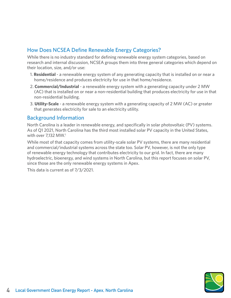#### How Does NCSEA Define Renewable Energy Categories?

While there is no industry standard for defining renewable energy system categories, based on research and internal discussion, NCSEA groups them into three general categories which depend on their location, size, and/or use:

- 1. **Residential** a renewable energy system of any generating capacity that is installed on or near a home/residence and produces electricity for use in that home/residence.
- 2. **Commercial/Industrial** a renewable energy system with a generating capacity under 2 MW (AC) that is installed on or near a non-residential building that produces electricity for use in that non-residential building.
- 3. **Utility-Scale** a renewable energy system with a generating capacity of 2 MW (AC) or greater that generates electricity for sale to an electricity utility.

#### Background Information

North Carolina is a leader in renewable energy, and specifically in solar photovoltaic (PV) systems. As of Q1 2021, North Carolina has the third most installed solar PV capacity in the United States, with over 7.132 MW.<sup>1</sup>

While most of that capacity comes from utility-scale solar PV systems, there are many residential and commercial/industrial systems across the state too. Solar PV, however, is not the only type of renewable energy technology that contributes electricity to our grid. In fact, there are many hydroelectric, bioenergy, and wind systems in North Carolina, but this report focuses on solar PV, since those are the only renewable energy systems in Apex.

This data is current as of 7/3/2021.

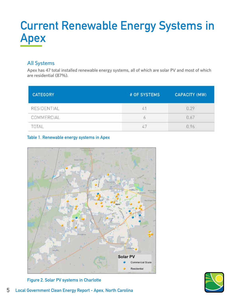### **Current Renewable Energy Systems in Apex**

#### All Systems

Apex has 47 total installed renewable energy systems, all of which are solar PV and most of which are residential (87%).

| <b>CATEGORY</b>    | # OF SYSTEMS | <b>CAPACITY (MW)</b> |
|--------------------|--------------|----------------------|
| <b>RESIDENTIAL</b> | w            | .29                  |
| COMMERCIAL         | O            | 0.67                 |
| TΔI                | 47           | 096                  |

#### **Table 1. Renewable energy systems in Apex**





**Figure 2. Solar PV systems in Charlotte**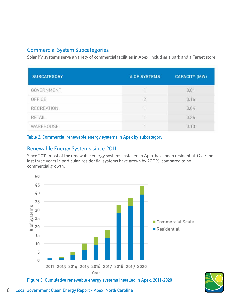#### Commercial System Subcategories

Solar PV systems serve a variety of commercial facilities in Apex, including a park and a Target store.

| <b>SUBCATEGORY</b> | # OF SYSTEMS | <b>CAPACITY (MW)</b> |
|--------------------|--------------|----------------------|
| GOVERNMENT         |              | 0.01                 |
| OFFICE             |              | 0.16                 |
| <b>RECREATION</b>  | - 1          | 0.04                 |
| RETAIL             |              | 0.36                 |
| <b>WAREHOUSE</b>   |              | 0.10                 |

#### **Table 2. Commercial renewable energy systems in Apex by subcategory**

#### Renewable Energy Systems since 2011

Since 2011, most of the renewable energy systems installed in Apex have been residential. Over the last three years in particular, residential systems have grown by 200%, compared to no commercial growth.



**Figure 3. Cumulative renewable energy systems installed in Apex, 2011-2020**

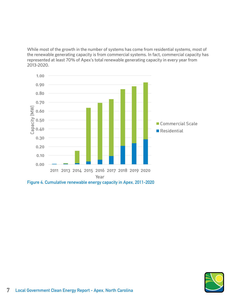While most of the growth in the number of systems has come from residential systems, most of the renewable generating capacity is from commercial systems. In fact, commercial capacity has represented at least 70% of Apex's total renewable generating capacity in every year from 2013-2020.



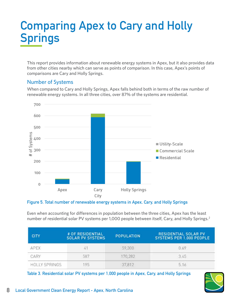### **Comparing Apex to Cary and Holly Springs**

This report provides information about renewable energy systems in Apex, but it also provides data from other cities nearby which can serve as points of comparison. In this case, Apex's points of comparisons are Cary and Holly Springs.

#### Number of Systems

When compared to Cary and Holly Springs, Apex falls behind both in terms of the raw number of renewable energy systems. In all three cities, over 87% of the systems are residential.



#### **Figure 5. Total number of renewable energy systems in Apex, Cary, and Holly Springs**

Even when accounting for differences in population between the three cities, Apex has the least number of residential solar PV systems per 1,000 people between itself, Cary, and Holly Springs.<sup>2</sup>

| <b>CITY</b>          | # OF RESIDENTIAL<br><b>SOLAR PV SYSTEMS</b> | <b>POPULATION</b> | <b>RESIDENTIAL SOLAR PV</b><br>SYSTEMS PER 1,000 PEOPLE |
|----------------------|---------------------------------------------|-------------------|---------------------------------------------------------|
| APFX                 |                                             | 59,300            | 0.69                                                    |
| CARY                 | 587                                         | 170,282           | 3.45                                                    |
| <b>HOLLY SPRINGS</b> | 95                                          | 37,812            | 5.16                                                    |

**Table 3. Residential solar PV systems per 1,000 people in Apex, Cary, and Holly Springs**

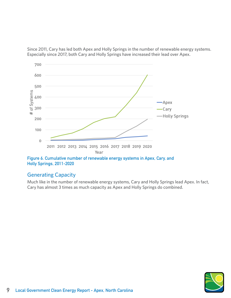Since 2011, Cary has led both Apex and Holly Springs in the number of renewable energy systems. Especially since 2017, both Cary and Holly Springs have increased their lead over Apex.



**Holly Springs, 2011-2020**

#### Generating Capacity

Much like in the number of renewable energy systems, Cary and Holly Springs lead Apex. In fact, Cary has almost 3 times as much capacity as Apex and Holly Springs do combined.

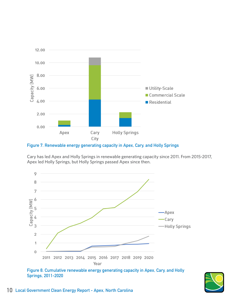

**Figure 7. Renewable energy generating capacity in Apex, Cary, and Holly Springs**

Cary has led Apex and Holly Springs in renewable generating capacity since 2011. From 2015-2017, Apex led Holly Springs, but Holly Springs passed Apex since then.



**Figure 8. Cumulative renewable energy generating capacity in Apex, Cary, and Holly Springs, 2011-2020**

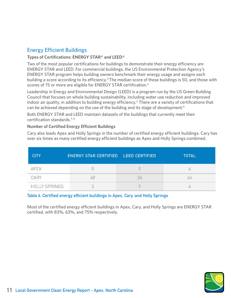#### Energy Efficient Buildings

#### **Types of Certifications: ENERGY STAR® and LEED®**

Two of the most popular certifications for buildings to demonstrate their energy efficiency are ENERGY STAR and LEED. For commercial buildings, the US Environmental Protection Agency's ENERGY STAR program helps building owners benchmark their energy usage and assigns each building a score according to its efficiency.<sup>3</sup> The median score of these buildings is 50, and those with scores of 75 or more are eligible for ENERGY STAR certification.<sup>4</sup>

Leadership in Energy and Environmental Design (LEED) is a program run by the US Green Building Council that focuses on whole building sustainability, including water use reduction and improved indoor air quality, in addition to building energy efficiency.<sup>5</sup> There are a variety of certifications that can be achieved depending on the use of the building and its stage of development.<sup>6</sup>

Both ENERGY STAR and LEED maintain datasets of the buildings that currently meet their certification standards. $7,8$ 

#### **Number of Certified Energy Efficient Buildings**

Cary also leads Apex and Holly Springs in the number of certified energy efficient buildings. Cary has over six times as many certified energy efficient buildings as Apex and Holly Springs combined.

| <b>CITY</b>          | ENERGY STAR CERTIFIED LEED CERTIFIED | <b>TOTAL</b> |
|----------------------|--------------------------------------|--------------|
| APEX                 |                                      |              |
| CARY                 |                                      | 64           |
| <b>HOLLY SPRINGS</b> |                                      |              |

#### **Table 4. Certified energy efficient buildings in Apex, Cary, and Holly Springs**

Most of the certified energy efficient buildings in Apex, Cary, and Holly Springs are ENERGY STAR certified, with 83%, 63%, and 75% respectively.

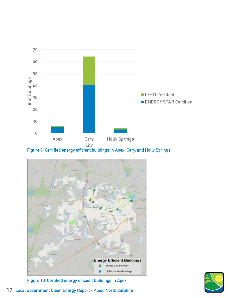

**Figure 9. Certified energy efficient buildings in Apex, Cary, and Holly Springs**



**Figure 10. Certified energy efficient buildings in Apex**

**12 Local Government Clean Energy Report - Apex, North Carolina**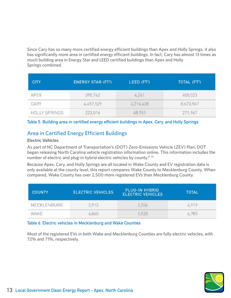Since Cary has so many more certified energy efficient buildings than Apex and Holly Springs, it also has significantly more area in certified energy efficient buildings. In fact, Cary has almost 13 times as much building area in Energy Star and LEED certified buildings than Apex and Holly Springs combined.

| <b>CITY</b>          | <b>ENERGY STAR (FT2)</b> | LEED (FT <sup>2</sup> ) | TOTAL (FT <sup>2</sup> ) |
|----------------------|--------------------------|-------------------------|--------------------------|
| <b>APEX</b>          | 395,762                  | 4,261                   | 400,023                  |
| CARY                 | 4,457,529                | 4,216,438               | 8,673,967                |
| <b>HOLLY SPRINGS</b> | 223,016                  | 48,951                  | 271,967                  |

#### **Table 5. Building area in certified energy efficient buildings in Apex, Cary, and Holly Springs**

#### Area in Certified Energy Efficient Buildings

#### **Electric Vehicles**

As part of NC Department of Transportation's (DOT) Zero-Emissions Vehicle (ZEV) Plan, DOT began releasing North Carolina vehicle registration information online. This information includes the number of electric and plug-in hybrid electric vehicles by county.<sup>9, 10</sup>

Because Apex, Cary, and Holly Springs are all located in Wake County and EV registration data is only available at the county level, this report compares Wake County to Mecklenburg County. When compared, Wake County has over 2,500 more registered EVs than Mecklenburg County.

| <b>COUNTY</b> | <b>ELECTRIC VEHICLES</b> | PLUG-IN HYBRID<br><b>ELECTRIC VEHICLES</b> | <b>TOTAL</b> |
|---------------|--------------------------|--------------------------------------------|--------------|
| MECKLENBURG   | 2,913                    | ,206                                       | 4.119        |
| wake          | 4.860                    | .925                                       | 6,785        |

#### **Table 6. Electric vehicles in Mecklenburg and Wake Counties**

Most of the registered EVs in both Wake and Mecklenburg Counties are fully electric vehicles, with 72% and 71%, respectively.

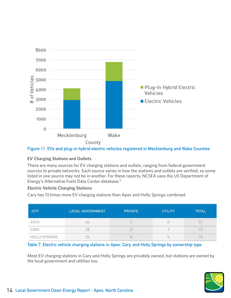

#### **Figure 11. EVs and plug-in hybrid electric vehicles registered in Mecklenburg and Wake Counties**

#### **EV Charging Stations and Outlets**

There are many sources for EV charging stations and outlets, ranging from federal government sources to private networks. Each source varies in how the stations and outlets are verified, so some listed in one source may not be in another. For these reports, NCSEA uses the US Department of Energy's Alternative Fuels Data Center database.<sup>11</sup>

#### **Electric Vehicle Charging Stations**

Cary has 13 times more EV charging stations than Apex and Holly Springs combined.

| <b>CITY</b>          | <b>LOCAL GOVERNMENT</b> | <b>PRIVATE</b> | <b>UTILITY</b> | <b>TOTAL</b> |
|----------------------|-------------------------|----------------|----------------|--------------|
| APEX                 | 46                      |                |                | ы.           |
| CARY                 |                         |                |                | ۰Q           |
| <b>HOLLY SPRINGS</b> |                         |                |                |              |

#### **Table 7. Electric vehicle charging stations in Apex, Cary, and Holly Springs by ownership type**

Most EV charging stations in Cary and Holly Springs are privately owned, but stations are owned by the local government and utilities too.

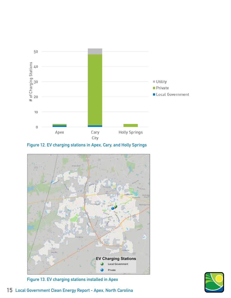

**Figure 12. EV charging stations in Apex, Cary, and Holly Springs**



**Figure 13. EV charging stations installed in Apex**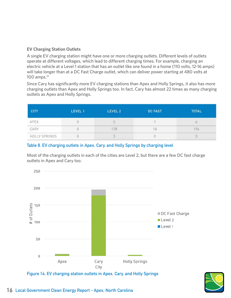#### **EV Charging Station Outlets**

A single EV charging station might have one or more charging outlets. Different levels of outlets operate at different voltages, which lead to different charging times. For example, charging an electric vehicle at a Level 1 station that has an outlet like one found in a home (110 volts, 12-16 amps) will take longer than at a DC Fast Charge outlet, which can deliver power starting at 480 volts at 100 amps.12

Since Cary has significantly more EV charging stations than Apex and Holly Springs, it also has more charging outlets than Apex and Holly Springs too. In fact, Cary has almost 22 times as many charging outlets as Apex and Holly Springs.

| <b>CITY</b>                                                | LEVEL 1 | LEVEL 2 | <b>DC FAST</b> | <b>TOTAL</b> |
|------------------------------------------------------------|---------|---------|----------------|--------------|
| APEX                                                       |         |         |                |              |
| CARY                                                       |         | 78      | 18             | 196          |
| and a state of the control of the control<br>HOLLY SPRINGS |         |         |                |              |

#### **Table 8. EV charging outlets in Apex, Cary, and Holly Springs by charging level**

Most of the charging outlets in each of the cities are Level 2, but there are a few DC fast charge outlets in Apex and Cary too.



**Figure 14. EV charging station outlets in Apex, Cary, and Holly Springs**